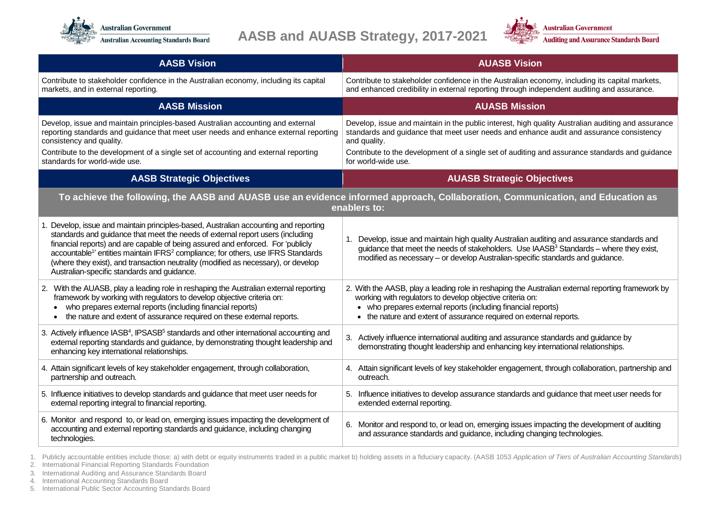



| <b>AASB Vision</b>                                                                                                                                                                                                                                                                                                                                                                                                                                                                                        | <b>AUASB Vision</b>                                                                                                                                                                                                                                                                                              |
|-----------------------------------------------------------------------------------------------------------------------------------------------------------------------------------------------------------------------------------------------------------------------------------------------------------------------------------------------------------------------------------------------------------------------------------------------------------------------------------------------------------|------------------------------------------------------------------------------------------------------------------------------------------------------------------------------------------------------------------------------------------------------------------------------------------------------------------|
| Contribute to stakeholder confidence in the Australian economy, including its capital<br>markets, and in external reporting.                                                                                                                                                                                                                                                                                                                                                                              | Contribute to stakeholder confidence in the Australian economy, including its capital markets,<br>and enhanced credibility in external reporting through independent auditing and assurance.                                                                                                                     |
| <b>AASB Mission</b>                                                                                                                                                                                                                                                                                                                                                                                                                                                                                       | <b>AUASB Mission</b>                                                                                                                                                                                                                                                                                             |
| Develop, issue and maintain principles-based Australian accounting and external<br>reporting standards and guidance that meet user needs and enhance external reporting<br>consistency and quality.                                                                                                                                                                                                                                                                                                       | Develop, issue and maintain in the public interest, high quality Australian auditing and assurance<br>standards and guidance that meet user needs and enhance audit and assurance consistency<br>and quality.                                                                                                    |
| Contribute to the development of a single set of accounting and external reporting<br>standards for world-wide use.                                                                                                                                                                                                                                                                                                                                                                                       | Contribute to the development of a single set of auditing and assurance standards and guidance<br>for world-wide use.                                                                                                                                                                                            |
| <b>AASB Strategic Objectives</b>                                                                                                                                                                                                                                                                                                                                                                                                                                                                          | <b>AUASB Strategic Objectives</b>                                                                                                                                                                                                                                                                                |
| To achieve the following, the AASB and AUASB use an evidence informed approach, Collaboration, Communication, and Education as<br>enablers to:                                                                                                                                                                                                                                                                                                                                                            |                                                                                                                                                                                                                                                                                                                  |
| 1. Develop, issue and maintain principles-based, Australian accounting and reporting<br>standards and guidance that meet the needs of external report users (including<br>financial reports) and are capable of being assured and enforced. For 'publicly<br>accountable <sup>1</sup> entities maintain IFRS <sup>2</sup> compliance; for others, use IFRS Standards<br>(where they exist), and transaction neutrality (modified as necessary), or develop<br>Australian-specific standards and guidance. | Develop, issue and maintain high quality Australian auditing and assurance standards and<br>guidance that meet the needs of stakeholders. Use IAASB <sup>3</sup> Standards - where they exist,<br>modified as necessary - or develop Australian-specific standards and guidance.                                 |
| 2. With the AUASB, play a leading role in reshaping the Australian external reporting<br>framework by working with regulators to develop objective criteria on:<br>who prepares external reports (including financial reports)<br>the nature and extent of assurance required on these external reports.<br>$\bullet$                                                                                                                                                                                     | 2. With the AASB, play a leading role in reshaping the Australian external reporting framework by<br>working with regulators to develop objective criteria on:<br>• who prepares external reports (including financial reports)<br>the nature and extent of assurance required on external reports.<br>$\bullet$ |
| 3. Actively influence IASB <sup>4</sup> , IPSASB <sup>5</sup> standards and other international accounting and<br>external reporting standards and guidance, by demonstrating thought leadership and<br>enhancing key international relationships.                                                                                                                                                                                                                                                        | 3. Actively influence international auditing and assurance standards and guidance by<br>demonstrating thought leadership and enhancing key international relationships.                                                                                                                                          |
| 4. Attain significant levels of key stakeholder engagement, through collaboration,<br>partnership and outreach.                                                                                                                                                                                                                                                                                                                                                                                           | 4. Attain significant levels of key stakeholder engagement, through collaboration, partnership and<br>outreach.                                                                                                                                                                                                  |
| 5. Influence initiatives to develop standards and guidance that meet user needs for<br>external reporting integral to financial reporting.                                                                                                                                                                                                                                                                                                                                                                | 5. Influence initiatives to develop assurance standards and guidance that meet user needs for<br>extended external reporting.                                                                                                                                                                                    |
| 6. Monitor and respond to, or lead on, emerging issues impacting the development of<br>accounting and external reporting standards and guidance, including changing<br>technologies.                                                                                                                                                                                                                                                                                                                      | 6. Monitor and respond to, or lead on, emerging issues impacting the development of auditing<br>and assurance standards and guidance, including changing technologies.                                                                                                                                           |

1. Publicly accountable entities include those: a) with debt or equity instruments traded in a public market b) holding assets in a fiduciary capacity. (AASB 1053 Application of Tiers of Australian Accounting Standards)

2. International Financial Reporting Standards Foundation

3. International Auditing and Assurance Standards Board

4. International Accounting Standards Board

5. International Public Sector Accounting Standards Board